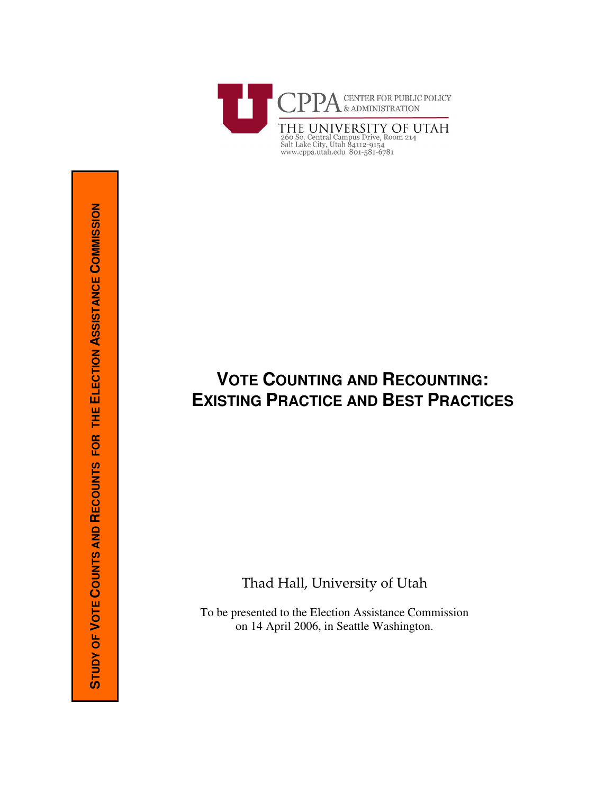

# VOTE COUNTING AND RECOUNTING: **EXISTING PRACTICE AND BEST PRACTICES**

Thad Hall, University of Utah

To be presented to the Election Assistance Commission on 14 April 2006, in Seattle Washington.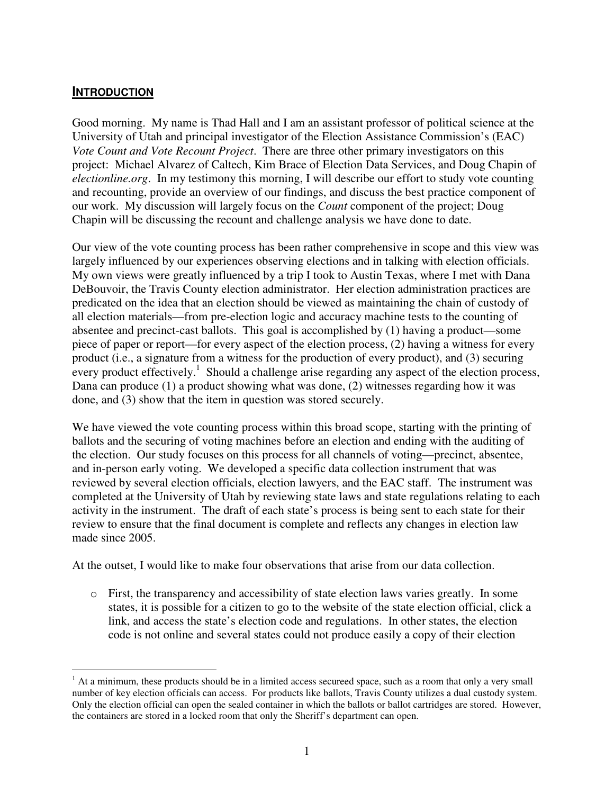#### **INTRODUCTION**

Good morning. My name is Thad Hall and I am an assistant professor of political science at the University of Utah and principal investigator of the Election Assistance Commission's (EAC) *Vote Count and Vote Recount Project*. There are three other primary investigators on this project: Michael Alvarez of Caltech, Kim Brace of Election Data Services, and Doug Chapin of *electionline.org*. In my testimony this morning, I will describe our effort to study vote counting and recounting, provide an overview of our findings, and discuss the best practice component of our work. My discussion will largely focus on the *Count* component of the project; Doug Chapin will be discussing the recount and challenge analysis we have done to date.

Our view of the vote counting process has been rather comprehensive in scope and this view was largely influenced by our experiences observing elections and in talking with election officials. My own views were greatly influenced by a trip I took to Austin Texas, where I met with Dana DeBouvoir, the Travis County election administrator. Her election administration practices are predicated on the idea that an election should be viewed as maintaining the chain of custody of all election materials—from pre-election logic and accuracy machine tests to the counting of absentee and precinct-cast ballots. This goal is accomplished by (1) having a product—some piece of paper or report—for every aspect of the election process, (2) having a witness for every product (i.e., a signature from a witness for the production of every product), and (3) securing every product effectively.<sup>1</sup> Should a challenge arise regarding any aspect of the election process, Dana can produce (1) a product showing what was done, (2) witnesses regarding how it was done, and (3) show that the item in question was stored securely.

We have viewed the vote counting process within this broad scope, starting with the printing of ballots and the securing of voting machines before an election and ending with the auditing of the election. Our study focuses on this process for all channels of voting—precinct, absentee, and in-person early voting. We developed a specific data collection instrument that was reviewed by several election officials, election lawyers, and the EAC staff. The instrument was completed at the University of Utah by reviewing state laws and state regulations relating to each activity in the instrument. The draft of each state's process is being sent to each state for their review to ensure that the final document is complete and reflects any changes in election law made since 2005.

At the outset, I would like to make four observations that arise from our data collection.

o First, the transparency and accessibility of state election laws varies greatly. In some states, it is possible for a citizen to go to the website of the state election official, click a link, and access the state's election code and regulations. In other states, the election code is not online and several states could not produce easily a copy of their election

 $<sup>1</sup>$  At a minimum, these products should be in a limited access secureed space, such as a room that only a very small</sup> number of key election officials can access. For products like ballots, Travis County utilizes a dual custody system. Only the election official can open the sealed container in which the ballots or ballot cartridges are stored. However, the containers are stored in a locked room that only the Sheriff's department can open.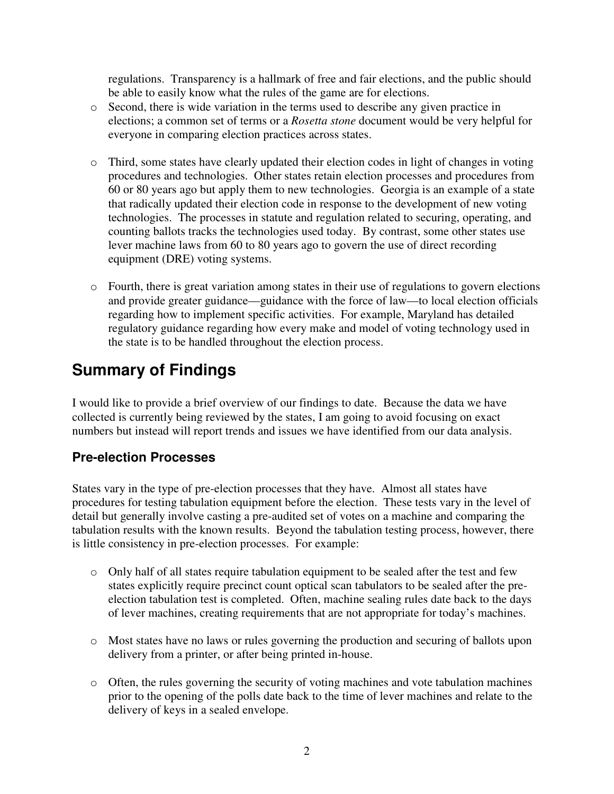regulations. Transparency is a hallmark of free and fair elections, and the public should be able to easily know what the rules of the game are for elections.

- o Second, there is wide variation in the terms used to describe any given practice in elections; a common set of terms or a *Rosetta stone* document would be very helpful for everyone in comparing election practices across states.
- o Third, some states have clearly updated their election codes in light of changes in voting procedures and technologies. Other states retain election processes and procedures from 60 or 80 years ago but apply them to new technologies. Georgia is an example of a state that radically updated their election code in response to the development of new voting technologies. The processes in statute and regulation related to securing, operating, and counting ballots tracks the technologies used today. By contrast, some other states use lever machine laws from 60 to 80 years ago to govern the use of direct recording equipment (DRE) voting systems.
- o Fourth, there is great variation among states in their use of regulations to govern elections and provide greater guidance—guidance with the force of law—to local election officials regarding how to implement specific activities. For example, Maryland has detailed regulatory guidance regarding how every make and model of voting technology used in the state is to be handled throughout the election process.

## **Summary of Findings**

I would like to provide a brief overview of our findings to date. Because the data we have collected is currently being reviewed by the states, I am going to avoid focusing on exact numbers but instead will report trends and issues we have identified from our data analysis.

### **Pre-election Processes**

States vary in the type of pre-election processes that they have. Almost all states have procedures for testing tabulation equipment before the election. These tests vary in the level of detail but generally involve casting a pre-audited set of votes on a machine and comparing the tabulation results with the known results. Beyond the tabulation testing process, however, there is little consistency in pre-election processes. For example:

- $\circ$  Only half of all states require tabulation equipment to be sealed after the test and few states explicitly require precinct count optical scan tabulators to be sealed after the preelection tabulation test is completed. Often, machine sealing rules date back to the days of lever machines, creating requirements that are not appropriate for today's machines.
- o Most states have no laws or rules governing the production and securing of ballots upon delivery from a printer, or after being printed in-house.
- o Often, the rules governing the security of voting machines and vote tabulation machines prior to the opening of the polls date back to the time of lever machines and relate to the delivery of keys in a sealed envelope.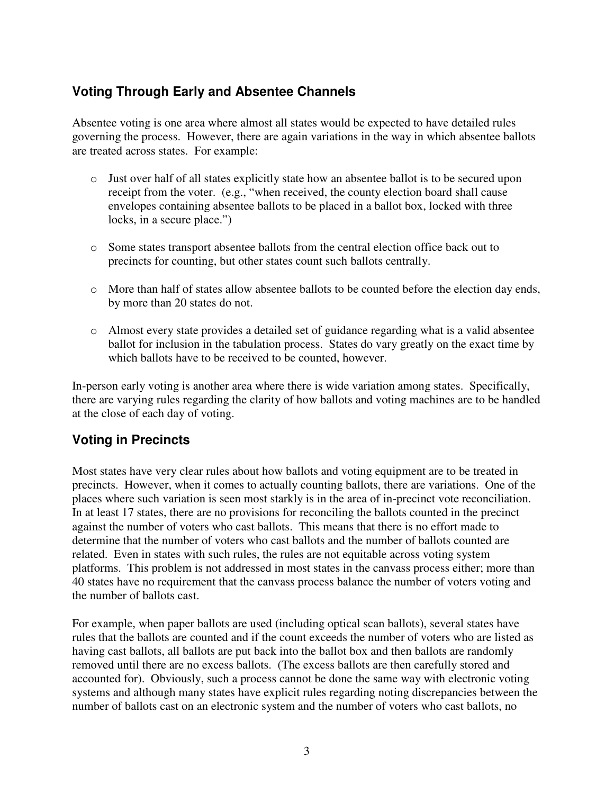#### **Voting Through Early and Absentee Channels**

Absentee voting is one area where almost all states would be expected to have detailed rules governing the process. However, there are again variations in the way in which absentee ballots are treated across states. For example:

- o Just over half of all states explicitly state how an absentee ballot is to be secured upon receipt from the voter. (e.g., "when received, the county election board shall cause envelopes containing absentee ballots to be placed in a ballot box, locked with three locks, in a secure place.")
- o Some states transport absentee ballots from the central election office back out to precincts for counting, but other states count such ballots centrally.
- o More than half of states allow absentee ballots to be counted before the election day ends, by more than 20 states do not.
- o Almost every state provides a detailed set of guidance regarding what is a valid absentee ballot for inclusion in the tabulation process. States do vary greatly on the exact time by which ballots have to be received to be counted, however.

In-person early voting is another area where there is wide variation among states. Specifically, there are varying rules regarding the clarity of how ballots and voting machines are to be handled at the close of each day of voting.

### **Voting in Precincts**

Most states have very clear rules about how ballots and voting equipment are to be treated in precincts. However, when it comes to actually counting ballots, there are variations. One of the places where such variation is seen most starkly is in the area of in-precinct vote reconciliation. In at least 17 states, there are no provisions for reconciling the ballots counted in the precinct against the number of voters who cast ballots. This means that there is no effort made to determine that the number of voters who cast ballots and the number of ballots counted are related. Even in states with such rules, the rules are not equitable across voting system platforms. This problem is not addressed in most states in the canvass process either; more than 40 states have no requirement that the canvass process balance the number of voters voting and the number of ballots cast.

For example, when paper ballots are used (including optical scan ballots), several states have rules that the ballots are counted and if the count exceeds the number of voters who are listed as having cast ballots, all ballots are put back into the ballot box and then ballots are randomly removed until there are no excess ballots. (The excess ballots are then carefully stored and accounted for). Obviously, such a process cannot be done the same way with electronic voting systems and although many states have explicit rules regarding noting discrepancies between the number of ballots cast on an electronic system and the number of voters who cast ballots, no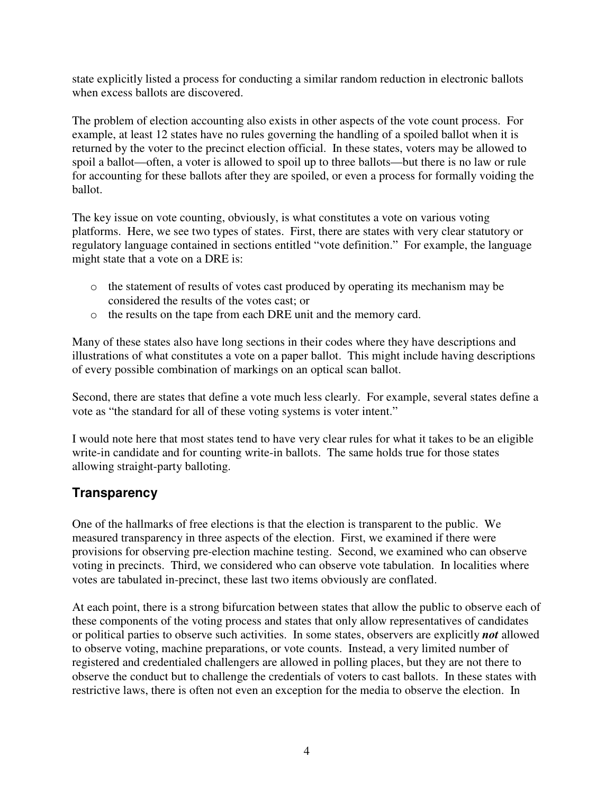state explicitly listed a process for conducting a similar random reduction in electronic ballots when excess ballots are discovered.

The problem of election accounting also exists in other aspects of the vote count process. For example, at least 12 states have no rules governing the handling of a spoiled ballot when it is returned by the voter to the precinct election official. In these states, voters may be allowed to spoil a ballot—often, a voter is allowed to spoil up to three ballots—but there is no law or rule for accounting for these ballots after they are spoiled, or even a process for formally voiding the ballot.

The key issue on vote counting, obviously, is what constitutes a vote on various voting platforms. Here, we see two types of states. First, there are states with very clear statutory or regulatory language contained in sections entitled "vote definition." For example, the language might state that a vote on a DRE is:

- o the statement of results of votes cast produced by operating its mechanism may be considered the results of the votes cast; or
- o the results on the tape from each DRE unit and the memory card.

Many of these states also have long sections in their codes where they have descriptions and illustrations of what constitutes a vote on a paper ballot. This might include having descriptions of every possible combination of markings on an optical scan ballot.

Second, there are states that define a vote much less clearly. For example, several states define a vote as "the standard for all of these voting systems is voter intent."

I would note here that most states tend to have very clear rules for what it takes to be an eligible write-in candidate and for counting write-in ballots. The same holds true for those states allowing straight-party balloting.

#### **Transparency**

One of the hallmarks of free elections is that the election is transparent to the public. We measured transparency in three aspects of the election. First, we examined if there were provisions for observing pre-election machine testing. Second, we examined who can observe voting in precincts. Third, we considered who can observe vote tabulation. In localities where votes are tabulated in-precinct, these last two items obviously are conflated.

At each point, there is a strong bifurcation between states that allow the public to observe each of these components of the voting process and states that only allow representatives of candidates or political parties to observe such activities. In some states, observers are explicitly *not* allowed to observe voting, machine preparations, or vote counts. Instead, a very limited number of registered and credentialed challengers are allowed in polling places, but they are not there to observe the conduct but to challenge the credentials of voters to cast ballots. In these states with restrictive laws, there is often not even an exception for the media to observe the election. In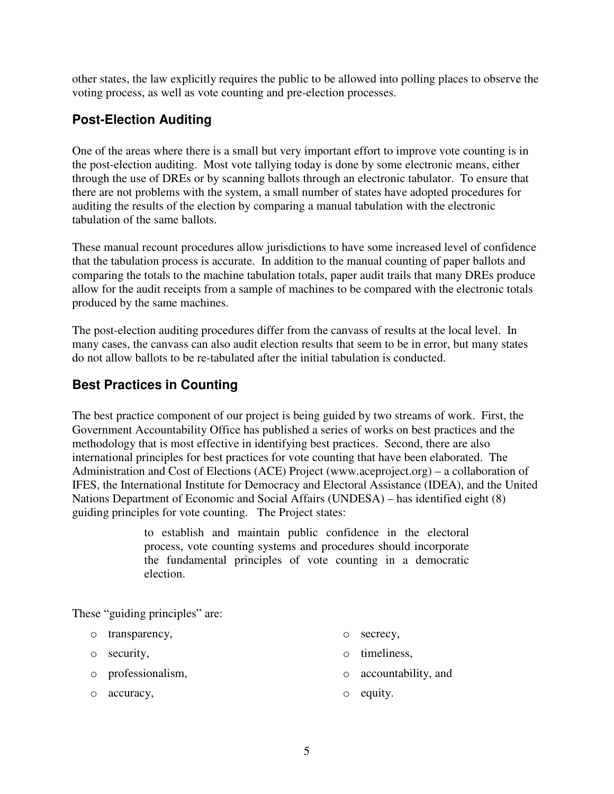other states, the law explicitly requires the public to be allowed into polling places to observe the voting process, as well as vote counting and pre-election processes.

#### **Post-Election Auditing**

One of the areas where there is a small but very important effort to improve vote counting is in the post-election auditing. Most vote tallying today is done by some electronic means, either through the use of DREs or by scanning ballots through an electronic tabulator. To ensure that there are not problems with the system, a small number of states have adopted procedures for auditing the results of the election by comparing a manual tabulation with the electronic tabulation of the same ballots.

These manual recount procedures allow jurisdictions to have some increased level of confidence that the tabulation process is accurate. In addition to the manual counting of paper ballots and comparing the totals to the machine tabulation totals, paper audit trails that many DREs produce allow for the audit receipts from a sample of machines to be compared with the electronic totals produced by the same machines.

The post-election auditing procedures differ from the canvass of results at the local level. In many cases, the canvass can also audit election results that seem to be in error, but many states do not allow ballots to be re-tabulated after the initial tabulation is conducted.

### **Best Practices in Counting**

The best practice component of our project is being guided by two streams of work. First, the Government Accountability Office has published a series of works on best practices and the methodology that is most effective in identifying best practices. Second, there are also international principles for best practices for vote counting that have been elaborated. The Administration and Cost of Elections (ACE) Project (www.aceproject.org) – a collaboration of IFES, the International Institute for Democracy and Electoral Assistance (IDEA), and the United Nations Department of Economic and Social Affairs (UNDESA) – has identified eight (8) guiding principles for vote counting. The Project states:

> to establish and maintain public confidence in the electoral process, vote counting systems and procedures should incorporate the fundamental principles of vote counting in a democratic election.

These "guiding principles" are:

- o transparency,
- o security,
- o secrecy,
- o timeliness,
- o professionalism, o accountability, and
- o accuracy,

o equity.